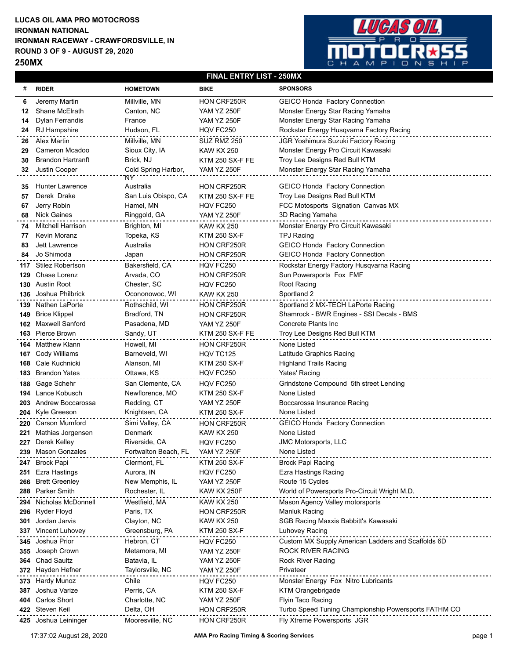## **LUCAS OIL AMA PRO MOTOCROSS IRONMAN RACEWAY - CRAWFORDSVILLE, IN ROUND 3 OF 9 - AUGUST 29, 2020 IRONMAN NATIONAL**

**250MX**



## **FINAL ENTRY LIST - 250MX**

| #   | <b>RIDER</b>             | <b>HOMETOWN</b>      | <b>BIKE</b>            | <b>SPONSORS</b>                                      |
|-----|--------------------------|----------------------|------------------------|------------------------------------------------------|
| 6   | Jeremy Martin            | Millville, MN        | HON CRF250R            | GEICO Honda Factory Connection                       |
| 12  | Shane McElrath           | Canton, NC           | <b>YAM YZ 250F</b>     | Monster Energy Star Racing Yamaha                    |
| 14  | Dylan Ferrandis          | France               | <b>YAM YZ 250F</b>     | Monster Energy Star Racing Yamaha                    |
| 24  | RJ Hampshire             | Hudson, FL           | HQV FC250              | Rockstar Energy Husqvarna Factory Racing             |
| 26  | <b>Alex Martin</b>       | Millville, MN        | SUZ RMZ 250            | JGR Yoshimura Suzuki Factory Racing                  |
| 29  | Cameron Mcadoo           | Sioux City, IA       | <b>KAW KX 250</b>      | Monster Energy Pro Circuit Kawasaki                  |
| 30  | <b>Brandon Hartranft</b> | Brick, NJ            | <b>KTM 250 SX-F FE</b> | Troy Lee Designs Red Bull KTM                        |
| 32  | Justin Cooper            | Cold Spring Harbor,  | <b>YAM YZ 250F</b>     | Monster Energy Star Racing Yamaha                    |
|     |                          | ΝY                   |                        |                                                      |
| 35  | <b>Hunter Lawrence</b>   | Australia            | HON CRF250R            | <b>GEICO Honda Factory Connection</b>                |
| 57  | Derek Drake              | San Luis Obispo, CA  | <b>KTM 250 SX-F FE</b> | Troy Lee Designs Red Bull KTM                        |
| 67  | Jerry Robin              | Hamel, MN            | HQV FC250              | FCC Motosports Signation Canvas MX                   |
| 68  | <b>Nick Gaines</b>       | Ringgold, GA         | <b>YAM YZ 250F</b>     | 3D Racing Yamaha                                     |
| 74  | <b>Mitchell Harrison</b> | Brighton, MI         | <b>KAW KX 250</b>      | Monster Energy Pro Circuit Kawasaki                  |
| 77  | Kevin Moranz             | Topeka, KS           | <b>KTM 250 SX-F</b>    | <b>TPJ Racing</b>                                    |
| 83  | Jett Lawrence            | Australia            | HON CRF250R            | GEICO Honda Factory Connection                       |
| 84  | Jo Shimoda               | Japan                | HON CRF250R            | <b>GEICO Honda Factory Connection</b>                |
| 117 | <b>Stilez Robertson</b>  | Bakersfield, CA      | HQV FC250              | Rockstar Energy Factory Husqvarna Racing             |
| 129 | Chase Lorenz             | Arvada, CO           | HON CRF250R            | Sun Powersports Fox FMF                              |
| 130 | <b>Austin Root</b>       | Chester, SC          | HQV FC250              | Root Racing                                          |
|     | 136 Joshua Philbrick     | Ocononowoc, WI       | <b>KAW KX 250</b>      | Sportland 2                                          |
|     | 139 Nathen LaPorte       | Rothschild, WI       | HON CRF250R            | Sportland 2 MX-TECH LaPorte Racing                   |
| 149 | <b>Brice Klippel</b>     | Bradford, TN         | HON CRF250R            | Shamrock - BWR Engines - SSI Decals - BMS            |
| 162 | <b>Maxwell Sanford</b>   | Pasadena, MD         | <b>YAM YZ 250F</b>     | Concrete Plants Inc                                  |
| 163 | Pierce Brown             | Sandy, UT            | <b>KTM 250 SX-F FE</b> | Troy Lee Designs Red Bull KTM                        |
|     | <b>164</b> Matthew Klann | Howell, MI           | HON CRF250R            | None Listed                                          |
| 167 | Cody Williams            | Barneveld, WI        | HQV TC125              | Latitude Graphics Racing                             |
| 168 | Cale Kuchnicki           | Alanson, MI          | <b>KTM 250 SX-F</b>    | <b>Highland Trails Racing</b>                        |
| 183 | <b>Brandon Yates</b>     | Ottawa, KS           | HQV FC250              | Yates' Racing                                        |
| 188 | Gage Schehr              | San Clemente, CA     | HQV FC250              | Grindstone Compound 5th street Lending               |
| 194 | Lance Kobusch            | Newflorence, MO      | <b>KTM 250 SX-F</b>    | None Listed                                          |
| 203 | Andrew Boccarossa        | Redding, CT          | <b>YAM YZ 250F</b>     | Boccarossa Insurance Racing                          |
| 204 | Kyle Greeson             | Knightsen, CA        | KTM 250 SX-F           | None Listed                                          |
| 220 | <b>Carson Mumford</b>    | Simi Valley, CA      | HON CRF250R            | <b>GEICO Honda Factory Connection</b>                |
| 221 | Mathias Jorgensen        | Denmark              | <b>KAW KX 250</b>      | None Listed                                          |
| 227 | Derek Kelley             | Riverside, CA        | HQV FC250              | <b>JMC Motorsports, LLC</b>                          |
| 239 | <b>Mason Gonzales</b>    | Fortwalton Beach, FL | <b>YAM YZ 250F</b>     | None Listed                                          |
|     | 247 Brock Papi           | Clermont, FL         | KTM 250 SX-F           | <b>Brock Papi Racing</b>                             |
| 251 | Ezra Hastings            | Aurora, IN           | HQV FC250              | Ezra Hastings Racing                                 |
| 266 | <b>Brett Greenley</b>    | New Memphis, IL      | <b>YAM YZ 250F</b>     | Route 15 Cycles                                      |
| 288 | Parker Smith             | Rochester, IL        | KAW KX 250F            | World of Powersports Pro-Circuit Wright M.D.         |
| 294 | Nicholas McDonnell       | Westfield, MA        | <b>KAW KX 250</b>      | Mason Agency Valley motorsports                      |
| 296 | <b>Ryder Floyd</b>       | Paris, TX            | HON CRF250R            | Manluk Racing                                        |
| 301 | Jordan Jarvis            | Clayton, NC          | <b>KAW KX 250</b>      | SGB Racing Maxxis Babbitt's Kawasaki                 |
| 337 | Vincent Luhovey          | Greensburg, PA       | <b>KTM 250 SX-F</b>    | Luhovey Racing                                       |
| 345 | Joshua Prior             | Hebron, CT           | HQV FC250              | Custom MX Supply American Ladders and Scaffolds 6D   |
| 355 | Joseph Crown             | Metamora, MI         | <b>YAM YZ 250F</b>     | ROCK RIVER RACING                                    |
| 364 | <b>Chad Saultz</b>       | Batavia, IL          | <b>YAM YZ 250F</b>     | Rock River Racing                                    |
| 372 | Hayden Hefner            | Taylorsville, NC     | <b>YAM YZ 250F</b>     | Privateer                                            |
| 373 | Hardy Munoz              | Chile                | HQV FC250              | Monster Energy Fox Nitro Lubricants                  |
| 387 | Joshua Varize            | Perris, CA           | <b>KTM 250 SX-F</b>    | <b>KTM Orangebrigade</b>                             |
| 404 | <b>Carlos Short</b>      | Charlotte, NC        | <b>YAM YZ 250F</b>     | Flyin Taco Racing                                    |
| 422 | Steven Keil              | Delta, OH            | HON CRF250R            | Turbo Speed Tuning Championship Powersports FATHM CO |
|     | 425 Joshua Leininger     | Mooresville, NC      | HON CRF250R            | Fly Xtreme Powersports JGR                           |